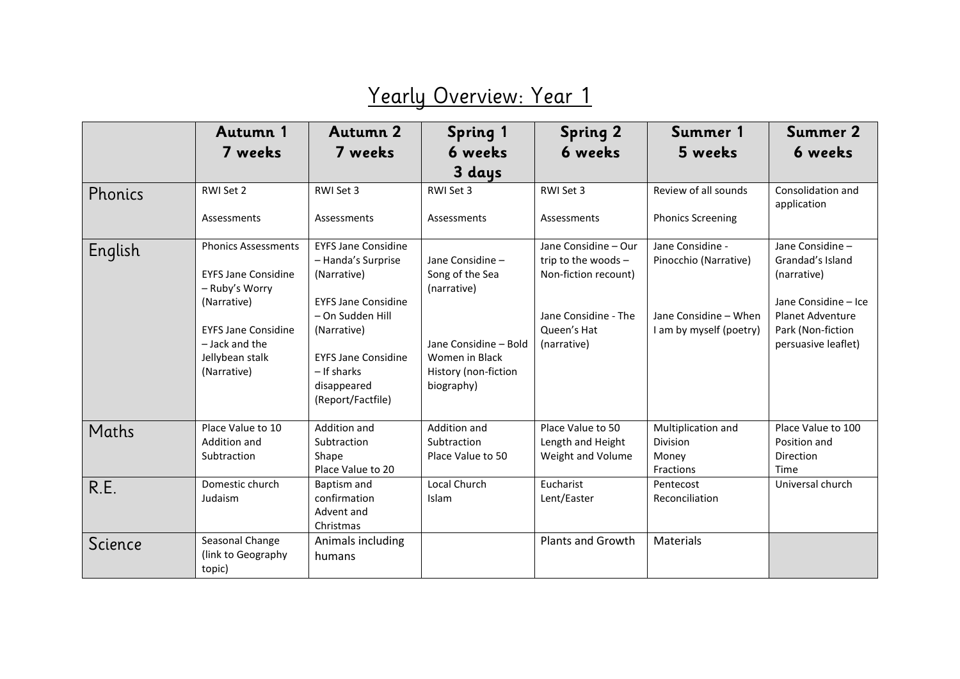## Yearly Overview: Year 1

|         | Autumn 1                                                                                                                                                                    | Autumn 2                                                                                                                                                                                                          | <b>Spring 1</b>                                                                                                                     | <b>Spring 2</b>                                                                                                           | Summer 1                                                                                      | <b>Summer 2</b>                                                                                                                                    |
|---------|-----------------------------------------------------------------------------------------------------------------------------------------------------------------------------|-------------------------------------------------------------------------------------------------------------------------------------------------------------------------------------------------------------------|-------------------------------------------------------------------------------------------------------------------------------------|---------------------------------------------------------------------------------------------------------------------------|-----------------------------------------------------------------------------------------------|----------------------------------------------------------------------------------------------------------------------------------------------------|
|         | 7 weeks                                                                                                                                                                     | 7 weeks                                                                                                                                                                                                           | 6 weeks                                                                                                                             | 6 weeks                                                                                                                   | 5 weeks                                                                                       | 6 weeks                                                                                                                                            |
|         |                                                                                                                                                                             |                                                                                                                                                                                                                   | 3 days                                                                                                                              |                                                                                                                           |                                                                                               |                                                                                                                                                    |
| Phonics | RWI Set 2                                                                                                                                                                   | RWI Set 3                                                                                                                                                                                                         | RWI Set 3                                                                                                                           | RWI Set 3                                                                                                                 | Review of all sounds                                                                          | Consolidation and<br>application                                                                                                                   |
|         | Assessments                                                                                                                                                                 | Assessments                                                                                                                                                                                                       | Assessments                                                                                                                         | Assessments                                                                                                               | <b>Phonics Screening</b>                                                                      |                                                                                                                                                    |
| English | <b>Phonics Assessments</b><br><b>EYFS Jane Considine</b><br>- Ruby's Worry<br>(Narrative)<br><b>EYFS Jane Considine</b><br>- Jack and the<br>Jellybean stalk<br>(Narrative) | <b>EYFS Jane Considine</b><br>- Handa's Surprise<br>(Narrative)<br><b>EYFS Jane Considine</b><br>- On Sudden Hill<br>(Narrative)<br><b>EYFS Jane Considine</b><br>- If sharks<br>disappeared<br>(Report/Factfile) | Jane Considine -<br>Song of the Sea<br>(narrative)<br>Jane Considine - Bold<br>Women in Black<br>History (non-fiction<br>biography) | Jane Considine - Our<br>trip to the woods -<br>Non-fiction recount)<br>Jane Considine - The<br>Oueen's Hat<br>(narrative) | Jane Considine -<br>Pinocchio (Narrative)<br>Jane Considine - When<br>I am by myself (poetry) | Jane Considine -<br>Grandad's Island<br>(narrative)<br>Jane Considine - Ice<br><b>Planet Adventure</b><br>Park (Non-fiction<br>persuasive leaflet) |
| Maths   | Place Value to 10<br>Addition and<br>Subtraction                                                                                                                            | Addition and<br>Subtraction<br>Shape<br>Place Value to 20                                                                                                                                                         | Addition and<br>Subtraction<br>Place Value to 50                                                                                    | Place Value to 50<br>Length and Height<br>Weight and Volume                                                               | Multiplication and<br>Division<br>Money<br>Fractions                                          | Place Value to 100<br>Position and<br>Direction<br>Time                                                                                            |
| R.E.    | Domestic church<br>Judaism                                                                                                                                                  | Baptism and<br>confirmation<br>Advent and<br>Christmas                                                                                                                                                            | Local Church<br>Islam                                                                                                               | Eucharist<br>Lent/Easter                                                                                                  | Pentecost<br>Reconciliation                                                                   | Universal church                                                                                                                                   |
| Science | Seasonal Change<br>(link to Geography<br>topic)                                                                                                                             | Animals including<br>humans                                                                                                                                                                                       |                                                                                                                                     | <b>Plants and Growth</b>                                                                                                  | Materials                                                                                     |                                                                                                                                                    |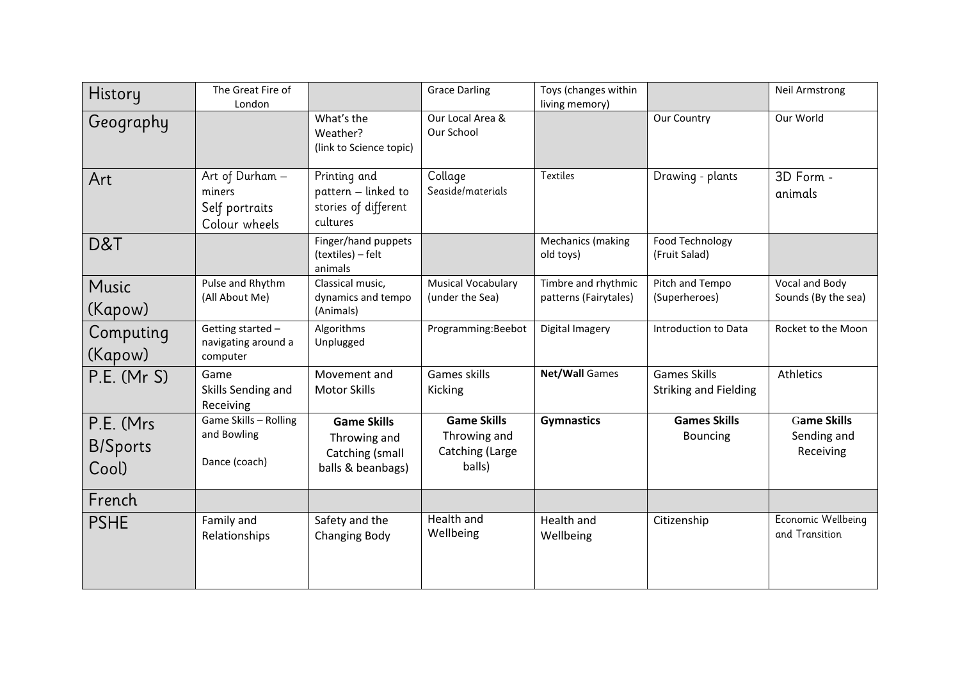| History                                | The Great Fire of<br>London                                  |                                                                            | <b>Grace Darling</b>                                            | Toys (changes within<br>living memory)       |                                                     | <b>Neil Armstrong</b>                          |
|----------------------------------------|--------------------------------------------------------------|----------------------------------------------------------------------------|-----------------------------------------------------------------|----------------------------------------------|-----------------------------------------------------|------------------------------------------------|
| Geography                              |                                                              | What's the<br>Weather?<br>(link to Science topic)                          | Our Local Area &<br>Our School                                  |                                              | Our Country                                         | Our World                                      |
| Art                                    | Art of Durham -<br>miners<br>Self portraits<br>Colour wheels | Printing and<br>pattern - linked to<br>stories of different<br>cultures    | Collage<br>Seaside/materials                                    | <b>Textiles</b>                              | Drawing - plants                                    | 3D Form -<br>animals                           |
| D&T                                    |                                                              | Finger/hand puppets<br>(textiles) - felt<br>animals                        |                                                                 | Mechanics (making<br>old toys)               | Food Technology<br>(Fruit Salad)                    |                                                |
| Music<br>(Kapow)                       | Pulse and Rhythm<br>(All About Me)                           | Classical music,<br>dynamics and tempo<br>(Animals)                        | <b>Musical Vocabulary</b><br>(under the Sea)                    | Timbre and rhythmic<br>patterns (Fairytales) | Pitch and Tempo<br>(Superheroes)                    | Vocal and Body<br>Sounds (By the sea)          |
| Computing<br>(Kapow)                   | Getting started -<br>navigating around a<br>computer         | Algorithms<br>Unplugged                                                    | Programming:Beebot                                              | Digital Imagery                              | Introduction to Data                                | Rocket to the Moon                             |
| P.E. (MrS)                             | Game<br>Skills Sending and<br>Receiving                      | Movement and<br><b>Motor Skills</b>                                        | <b>Games skills</b><br>Kicking                                  | <b>Net/Wall Games</b>                        | <b>Games Skills</b><br><b>Striking and Fielding</b> | Athletics                                      |
| P.E. (Mrs.<br><b>B/Sports</b><br>Cool) | Game Skills - Rolling<br>and Bowling<br>Dance (coach)        | <b>Game Skills</b><br>Throwing and<br>Catching (small<br>balls & beanbags) | <b>Game Skills</b><br>Throwing and<br>Catching (Large<br>balls) | <b>Gymnastics</b>                            | <b>Games Skills</b><br><b>Bouncing</b>              | <b>Game Skills</b><br>Sending and<br>Receiving |
| French                                 |                                                              |                                                                            |                                                                 |                                              |                                                     |                                                |
| <b>PSHE</b>                            | Family and<br>Relationships                                  | Safety and the<br><b>Changing Body</b>                                     | Health and<br>Wellbeing                                         | Health and<br>Wellbeing                      | Citizenship                                         | Economic Wellbeing<br>and Transition           |